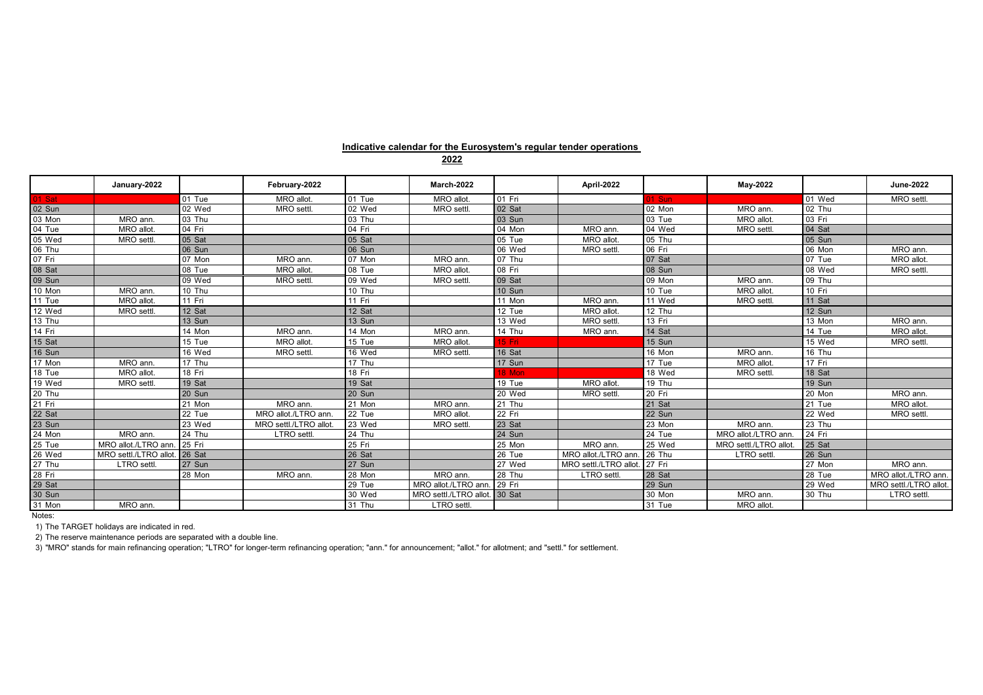## **Indicative calendar for the Eurosystem's regular tender operations**

|                                                                                                         | January-2022                  |                     | February-2022          |               | March-2022             |              | <b>April-2022</b>     |        | May-2022              |        | June-2022              |
|---------------------------------------------------------------------------------------------------------|-------------------------------|---------------------|------------------------|---------------|------------------------|--------------|-----------------------|--------|-----------------------|--------|------------------------|
| 01 Sat                                                                                                  |                               | 01 Tue              | <b>MRO</b> allot       | 01 Tue        | MRO allot              | 01 Fri       |                       | 01 Sun |                       | 01 Wed | MRO settl.             |
| $\begin{array}{r}\n 02 \text{ Sun} \\ \hline\n 03 \text{ Mon} \\ \hline\n 04 \text{ Tue}\n \end{array}$ |                               | 02 Wed              | MRO settl.             | 02 Wed        | MRO settl.             | 02 Sat       |                       | 02 Mon | MRO ann               | 02 Thu |                        |
|                                                                                                         | MRO ann                       | 03 Thu              |                        | 03 Thu        |                        | 03 Sun       |                       | 03 Tue | MRO allot             | 03 Fri |                        |
|                                                                                                         | MRO allot                     | 04 Fri              |                        | 04 Fri        |                        | 04 Mon       | MRO ann.              | 04 Wed | MRO settl             | 04 Sat |                        |
| 05 Wed                                                                                                  | MRO settl                     | 05 Sat              |                        | 05 Sat        |                        | 05 Tue       | MRO allot.            | 05 Thu |                       | 05 Sun |                        |
| 06 Thu                                                                                                  |                               | 06 Sun              |                        | 06 Sun        |                        | 06 Wed       | MRO settl.            | 06 Fri |                       | 06 Mon | MRO ann                |
| 07 Fri                                                                                                  |                               | $\overline{07}$ Mon | MRO ann                | 07 Mon        | MRO ann.               | 07 Thu       |                       | 07 Sat |                       | 07 Tue | MRO allot.             |
| 08 Sat                                                                                                  |                               | 08 Tue              | <b>MRO</b> allot       | 08 Tue        | <b>MRO</b> allot       | 08 Fri       |                       | 08 Sun |                       | 08 Wed | MRO settl.             |
| 09 Sun                                                                                                  |                               | 09 Wed              | MRO settl.             | 09 Wed        | MRO settl.             | 09 Sat       |                       | 09 Mon | MRO ann               | 09 Thu |                        |
| 10 Mon                                                                                                  | MRO ann                       | 10 Thu              |                        | 10 Thu        |                        | 10 Sun       |                       | 10 Tue | MRO allot.            | 10 Fri |                        |
| $11$ Tue                                                                                                | MRO allot                     | 11 Fri              |                        | 11 Fri        |                        | 11 Mon       | MRO ann.              | 11 Wed | MRO settl             | 11 Sat |                        |
| 12 Wed                                                                                                  | MRO settl.                    | 12 Sat              |                        | 12 Sat        |                        | 12 Tue       | MRO allot.            | 12 Thu |                       | 12 Sun |                        |
| 13 Thu                                                                                                  |                               | 13 Sun              |                        | <b>13 Sun</b> |                        | 13 Wed       | MRO settl.            | 13 Fri |                       | 13 Mon | MRO ann.               |
| 14 Fri                                                                                                  |                               | 14 Mon              | MRO ann                | 14 Mon        | MRO ann.               | 14 Thu       | MRO ann.              | 14 Sat |                       | 14 Tue | MRO allot              |
| 15 Sat                                                                                                  |                               | 15 Tue              | <b>MRO</b> allot       | 15 Tue        | <b>MRO</b> allot       | 15 Fri       |                       | 15 Sun |                       | 15 Wed | MRO settl.             |
| 16 Sun                                                                                                  |                               | 16 Wed              | MRO settl.             | 16 Wed        | MRO settl.             | 16 Sat       |                       | 16 Mon | MRO ann               | 16 Thu |                        |
| 17 Mon                                                                                                  | MRO ann                       | 17 Thu              |                        | 17 Thu        |                        | 17 Sun       |                       | 17 Tue | MRO allot             | 17 Fri |                        |
| 18 Tue                                                                                                  | MRO allot                     | 18 Fri              |                        | 18 Fri        |                        | <b>8 Mon</b> |                       | 18 Wed | <b>MRO</b> settl      | 18 Sat |                        |
| 19 Wed                                                                                                  | MRO settl.                    | 19 Sat              |                        | 19 Sat        |                        | 19 Tue       | MRO allot.            | 19 Thu |                       | 19 Sun |                        |
| 20 Thu                                                                                                  |                               | 20 Sun              |                        | <b>20 Sun</b> |                        | 20 Wed       | MRO settl.            | 20 Fri |                       | 20 Mon | MRO ann.               |
| $21$ Fri                                                                                                |                               | 21 Mon              | MRO ann                | 21 Mon        | MRO ann.               | 21 Thu       |                       | 21 Sat |                       | 21 Tue | MRO allot              |
| 22 Sat                                                                                                  |                               | 22 Tue              | MRO allot./LTRO ann    | 22 Tue        | MRO allot              | 22 Fri       |                       | 22 Sun |                       | 22 Wed | MRO settl.             |
| 23 Sun                                                                                                  |                               | 23 Wed              | MRO settl./LTRO allot. | 23 Wed        | MRO settl.             | 23 Sat       |                       | 23 Mon | MRO ann               | 23 Thu |                        |
| 24 Mon                                                                                                  | MRO ann.                      | 24 Thu              | LTRO settl.            | 24 Thu        |                        | 24 Sun       |                       | 24 Tue | MRO allot./LTRO ann.  | 24 Fri |                        |
| 25 Tue                                                                                                  | MRO allot./LTRO ann           | 25 Fri              |                        | 25 Fri        |                        | 25 Mon       | MRO ann.              | 25 Wed | MRO settl./LTRO allot | 25 Sat |                        |
| 26 Wed                                                                                                  | MRO settl./LTRO allot. 26 Sat |                     |                        | 26 Sat        |                        | 26 Tue       | MRO allot./LTRO ann   | 26 Thu | LTRO settl.           | 26 Sun |                        |
| 27 Thu                                                                                                  | LTRO settl.                   | 27 Sun              |                        | 27 Sun        |                        | 27 Wed       | MRO settl./LTRO allot | 27 Fri |                       | 27 Mon | MRO ann.               |
| 28 Fri                                                                                                  |                               | 28 Mon              | MRO ann.               | 28 Mon        | MRO ann.               | 28 Thu       | <b>LTRO</b> settl     | 28 Sat |                       | 28 Tue | MRO allot./LTRO ann    |
| $\frac{29 \text{ Sat}}{30 \text{ Sun}}$                                                                 |                               |                     |                        | 29 Tue        | MRO allot./LTRO ann    | 29 Fri       |                       | 29 Sun |                       | 29 Wed | MRO settl./LTRO allot. |
|                                                                                                         |                               |                     |                        | 30 Wed        | MRO settl./LTRO allot. | 30 Sat       |                       | 30 Mon | MRO ann.              | 30 Thu | LTRO settl.            |
| 31 Mon                                                                                                  | MRO ann.                      |                     |                        | 31 Thu        | LTRO settl.            |              |                       | 31 Tue | MRO allot             |        |                        |

Notes:

1) The TARGET holidays are indicated in red.

2) The reserve maintenance periods are separated with a double line.

3) "MRO" stands for main refinancing operation; "LTRO" for longer-term refinancing operation; "ann." for announcement; "allot." for allotment; and "settl." for settlement.